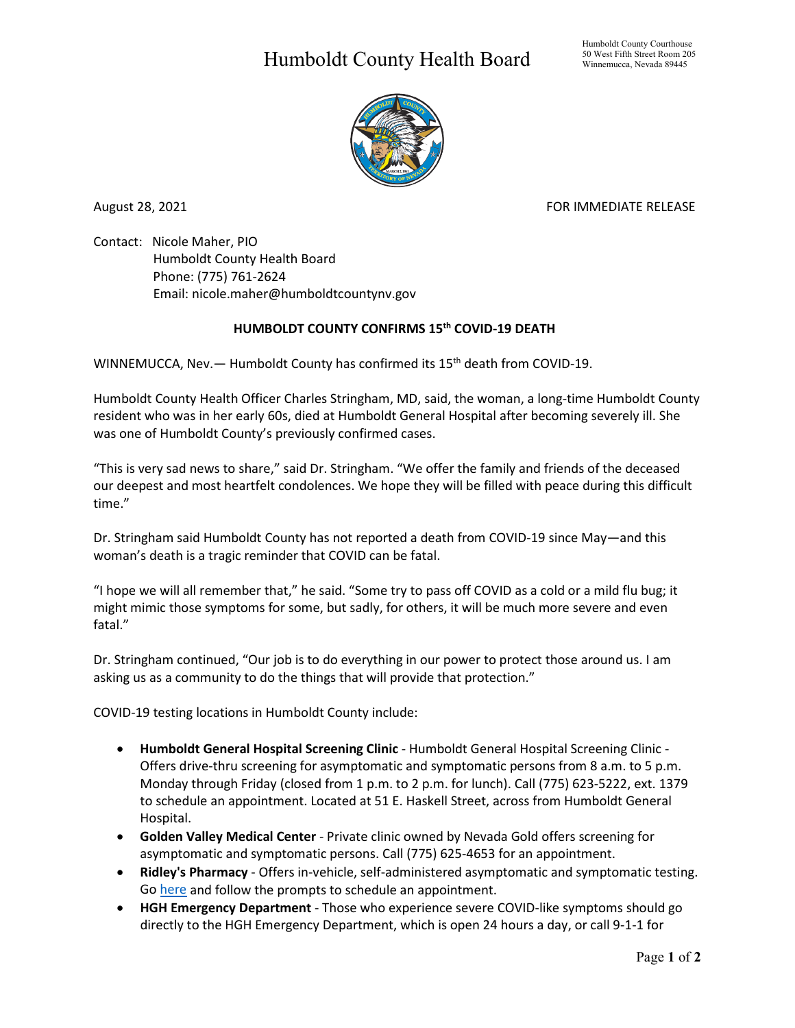## Humboldt County Health Board



August 28, 2021 **FOR IMMEDIATE RELEASE** 

Contact: Nicole Maher, PIO Humboldt County Health Board Phone: (775) 761-2624 Email: nicole.maher@humboldtcountynv.gov

## **HUMBOLDT COUNTY CONFIRMS 15th COVID-19 DEATH**

WINNEMUCCA, Nev. - Humboldt County has confirmed its 15<sup>th</sup> death from COVID-19.

Humboldt County Health Officer Charles Stringham, MD, said, the woman, a long-time Humboldt County resident who was in her early 60s, died at Humboldt General Hospital after becoming severely ill. She was one of Humboldt County's previously confirmed cases.

"This is very sad news to share," said Dr. Stringham. "We offer the family and friends of the deceased our deepest and most heartfelt condolences. We hope they will be filled with peace during this difficult time."

Dr. Stringham said Humboldt County has not reported a death from COVID-19 since May—and this woman's death is a tragic reminder that COVID can be fatal.

"I hope we will all remember that," he said. "Some try to pass off COVID as a cold or a mild flu bug; it might mimic those symptoms for some, but sadly, for others, it will be much more severe and even fatal."

Dr. Stringham continued, "Our job is to do everything in our power to protect those around us. I am asking us as a community to do the things that will provide that protection."

COVID-19 testing locations in Humboldt County include:

- **Humboldt General Hospital Screening Clinic** Humboldt General Hospital Screening Clinic Offers drive-thru screening for asymptomatic and symptomatic persons from 8 a.m. to 5 p.m. Monday through Friday (closed from 1 p.m. to 2 p.m. for lunch). Call (775) 623-5222, ext. 1379 to schedule an appointment. Located at 51 E. Haskell Street, across from Humboldt General Hospital.
- **Golden Valley Medical Center** Private clinic owned by Nevada Gold offers screening for asymptomatic and symptomatic persons. Call (775) 625-4653 for an appointment.
- **Ridley's Pharmacy** Offers in-vehicle, self-administered asymptomatic and symptomatic testing. Go [here](https://www.doineedacovid19test.com/Winnemucca_NV_1098.html) and follow the prompts to schedule an appointment.
- **HGH Emergency Department**  Those who experience severe COVID-like symptoms should go directly to the HGH Emergency Department, which is open 24 hours a day, or call 9-1-1 for